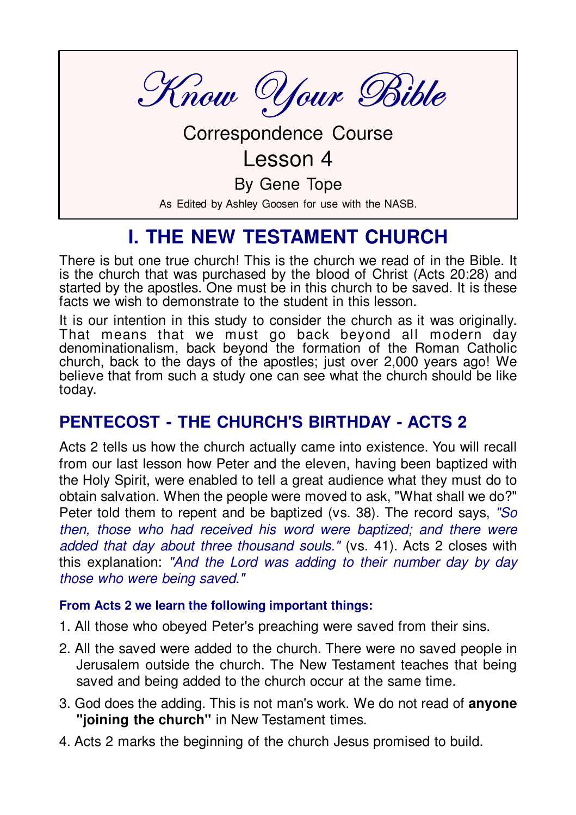Know Your Bible

**Correspondence Course** 

## $l$  esson 4

By Gene Tope

As Edited by Ashley Goosen for use with the NASB.

# **I. THE NEW TESTAMENT CHURCH**

There is but one true church! This is the church we read of in the Bible. It is the church that was purchased by the blood of Christ (Acts 20:28) and started by the apostles. One must be in this church to be saved. It is these facts we wish to demonstrate to the student in this lesson

It is our intention in this study to consider the church as it was originally. That means that we must go back beyond all modern day denominationalism, back beyond the formation of the Roman Catholic church, back to the days of the apostles; just over 2,000 years ago! We believe that from such a study one can see what the church should be like today.

### **PENTECOST - THE CHURCH'S BIRTHDAY - ACTS 2**

Acts 2 tells us how the church actually came into existence. You will recall from our last lesson how Peter and the eleven, having been baptized with the Holy Spirit, were enabled to tell a great audience what they must do to obtain salvation. When the people were moved to ask, "What shall we do?" Peter told them to repent and be baptized (vs. 38). The record says, "So then, those who had received his word were baptized; and there were added that day about three thousand souls." (vs. 41). Acts 2 closes with this explanation: "And the Lord was adding to their number day by day those who were being saved."

#### From Acts 2 we learn the following important things:

- 1. All those who obeyed Peter's preaching were saved from their sins.
- 2. All the saved were added to the church. There were no saved people in Jerusalem outside the church. The New Testament teaches that being saved and being added to the church occur at the same time.
- 3. God does the adding. This is not man's work. We do not read of **anyone** "joining the church" in New Testament times.
- 4. Acts 2 marks the beginning of the church Jesus promised to build.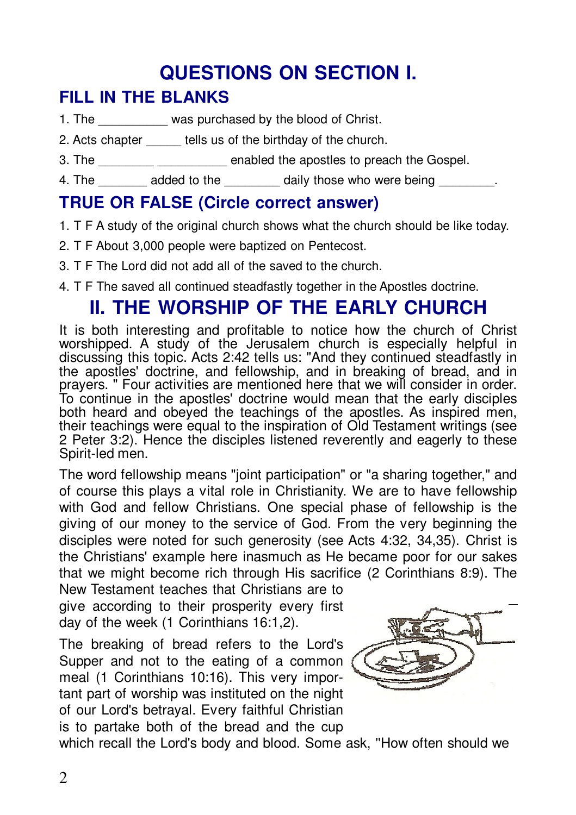# **QUESTIONS ON SECTION I.**

## **FILL IN THE BLANKS**

- 1. The was purchased by the blood of Christ.
- 2. Acts chapter tells us of the birthday of the church.
- 3. The state of the approximation of the contract of the Gospel.
- 4. The added to the daily those who were being

### **TRUE OR FALSE (Circle correct answer)**

- 1. T F A study of the original church shows what the church should be like today.
- 2. T F About 3,000 people were baptized on Pentecost.
- 3. T F The Lord did not add all of the saved to the church.
- 4. T F The saved all continued steadfastly together in the Apostles doctrine.

# **II. THE WORSHIP OF THE EARLY CHURCH**

It is both interesting and profitable to notice how the church of Christ worshipped. A study of the Jerusalem church is especially helpful in discussing this topic. Acts 2:42 tells us: "And they continued steadfastly in the apostles' doctrine, and fellowship, and in breaking of bread, and in prayers. " Four activities are mentioned here that we will consider in order. To continue in the apostles' doctrine would mean that the early disciples both heard and obeyed the teachings of the apostles. As inspired men, their teachings were equal to the inspiration of Old Testament writings (see 2 Peter 3:2). Hence the disciples listened reverently and eagerly to these Spirit-led men.

The word fellowship means "joint participation" or "a sharing together," and of course this plays a vital role in Christianity. We are to have fellowship with God and fellow Christians. One special phase of fellowship is the giving of our money to the service of God. From the very beginning the disciples were noted for such generosity (see Acts 4:32, 34,35). Christ is the Christians' example here inasmuch as He became poor for our sakes that we might become rich through His sacrifice (2 Corinthians 8:9). The

New Testament teaches that Christians are to give according to their prosperity every first day of the week (1 Corinthians 16:1,2).

The breaking of bread refers to the Lord's Supper and not to the eating of a common meal (1 Corinthians 10:16). This very important part of worship was instituted on the night of our Lord's betrayal. Every faithful Christian is to partake both of the bread and the cup



which recall the Lord's body and blood. Some ask, "How often should we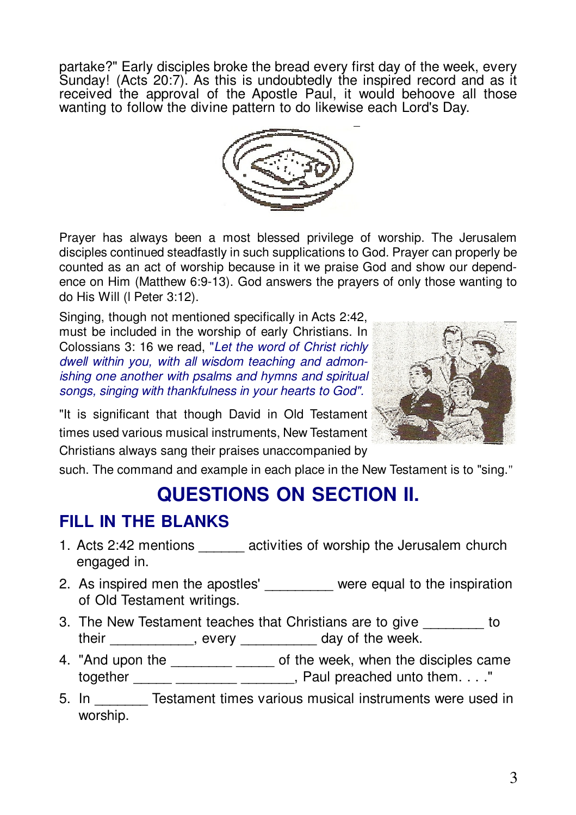partake?" Early disciples broke the bread every first day of the week, every Sunday! (Acts 20:7). As this is undoubtedly the inspired record and as it received the approval of the Apostle Paul, it would behoove all those wanting to follow the divine pattern to do likewise each Lord's Day.



Prayer has always been a most blessed privilege of worship. The Jerusalem disciples continued steadfastly in such supplications to God. Prayer can properly be counted as an act of worship because in it we praise God and show our dependence on Him (Matthew 6:9-13). God answers the prayers of only those wanting to do His Will (I Peter 3:12).

Singing, though not mentioned specifically in Acts 2:42, must be included in the worship of early Christians. In Colossians 3: 16 we read, "Let the word of Christ richly dwell within you, with all wisdom teaching and admonishing one another with psalms and hymns and spiritual songs, singing with thankfulness in your hearts to God".



"It is significant that though David in Old Testament times used various musical instruments. New Testament Christians always sang their praises unaccompanied by

such. The command and example in each place in the New Testament is to "sing."

# **QUESTIONS ON SECTION II.**

## **FILL IN THE BLANKS**

- 1. Acts 2:42 mentions activities of worship the Jerusalem church engaged in.
- 2. As inspired men the apostles' were equal to the inspiration of Old Testament writings.
- 3. The New Testament teaches that Christians are to give to their , every day of the week.
- 4. "And upon the \_\_\_\_\_\_\_\_ \_\_\_\_\_ of the week, when the disciples came together \_\_\_\_\_\_ \_\_\_\_\_\_\_\_ \_\_\_\_\_\_\_\_, Paul preached unto them. . . ."
- 5. In Testament times various musical instruments were used in worship.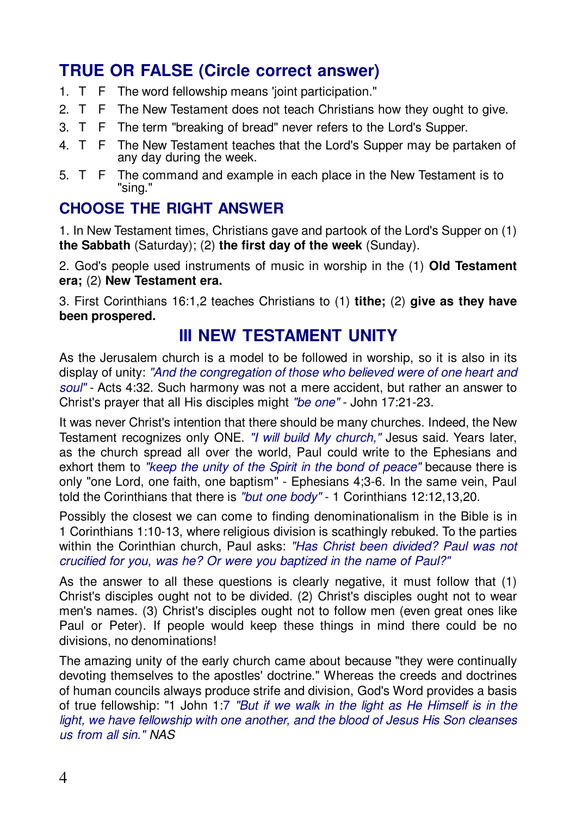## **TRUE OR FALSE (Circle correct answer)**

- 1. T F The word fellowship means 'joint participation."
- 2. T F The New Testament does not teach Christians how they ought to give.
- 3. T F The term "breaking of bread" never refers to the Lord's Supper.
- 4. T F The New Testament teaches that the Lord's Supper may be partaken of any day during the week.
- 5. T F The command and example in each place in the New Testament is to "sina."

### **CHOOSE THE RIGHT ANSWER**

1. In New Testament times, Christians gave and partook of the Lord's Supper on (1) the Sabbath (Saturday): (2) the first day of the week (Sunday).

2. God's people used instruments of music in worship in the (1) Old Testament era; (2) New Testament era.

3. First Corinthians 16:1,2 teaches Christians to (1) tithe; (2) give as they have been prospered.

### **III NEW TESTAMENT UNITY**

As the Jerusalem church is a model to be followed in worship, so it is also in its display of unity: "And the congregation of those who believed were of one heart and soul" - Acts 4:32. Such harmony was not a mere accident, but rather an answer to Christ's prayer that all His disciples might "be one" - John 17:21-23.

It was never Christ's intention that there should be many churches. Indeed, the New Testament recognizes only ONE. "I will build My church." Jesus said. Years later, as the church spread all over the world. Paul could write to the Ephesians and exhort them to "keep the unity of the Spirit in the bond of peace" because there is only "one Lord, one faith, one baptism" - Ephesians 4;3-6. In the same vein, Paul told the Corinthians that there is "but one body" - 1 Corinthians 12:12,13,20.

Possibly the closest we can come to finding denominationalism in the Bible is in 1 Corinthians 1:10-13, where religious division is scathingly rebuked. To the parties within the Corinthian church, Paul asks: "Has Christ been divided? Paul was not crucified for you, was he? Or were you baptized in the name of Paul?"

As the answer to all these questions is clearly negative, it must follow that (1) Christ's disciples ought not to be divided. (2) Christ's disciples ought not to wear men's names. (3) Christ's disciples ought not to follow men (even great ones like Paul or Peter). If people would keep these things in mind there could be no divisions, no denominations!

The amazing unity of the early church came about because "they were continually devoting themselves to the apostles' doctrine." Whereas the creeds and doctrines of human councils always produce strife and division, God's Word provides a basis of true fellowship: "1 John 1:7 "But if we walk in the light as He Himself is in the light, we have fellowship with one another, and the blood of Jesus His Son cleanses us from all sin." NAS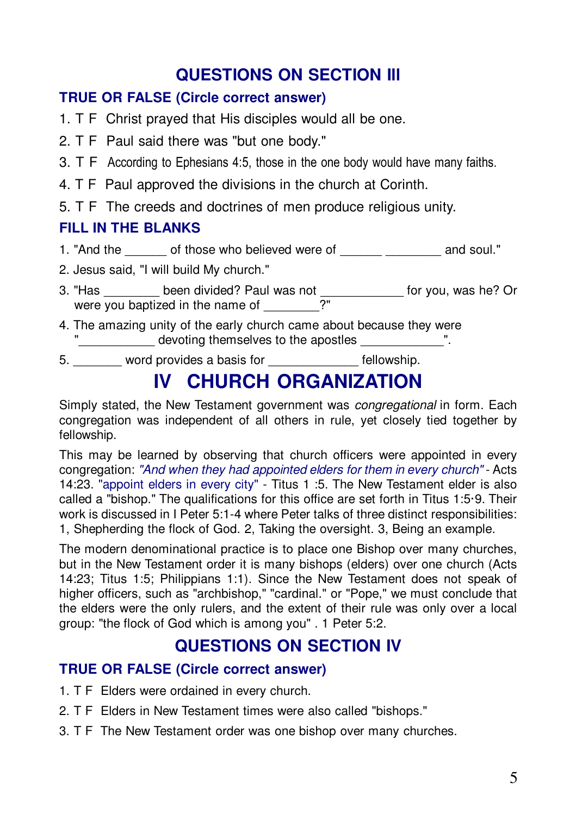## **QUESTIONS ON SECTION Ill**

### **TRUE OR FALSE (Circle correct answer)**

- 1. T F Christ prayed that His disciples would all be one.
- 2. T F Paul said there was "but one body."
- 3. T F According to Ephesians 4:5, those in the one body would have many faiths.
- 4. T F Paul approved the divisions in the church at Corinth.
- 5. T F The creeds and doctrines of men produce religious unity.

### **FILL IN THE BLANKS**

- 1. "And the divided who believed were of those who believed were of the same soul."
- 2. Jesus said, "I will build My church."
- 3. "Has \_\_\_\_\_\_\_\_ been divided? Paul was not \_\_\_\_\_\_\_\_\_\_\_\_ for you, was he? Or were you baptized in the name of \_\_\_\_\_\_\_\_?"
- 4. The amazing unity of the early church came about because they were devoting themselves to the apostles  $\blacksquare$ .
- 5. word provides a basis for example in tellowship.

# **IV CHURCH ORGANIZATION**

Simply stated, the New Testament government was *congregational* in form. Each congregation was independent of all others in rule, yet closely tied together by fellowship.

This may be learned by observing that church officers were appointed in every congregation: "And when they had appointed elders for them in every church" - Acts 14:23. "appoint elders in every city" - Titus 1 :5. The New Testament elder is also called a "bishop." The qualifications for this office are set forth in Titus 1:5·9. Their work is discussed in I Peter 5:1-4 where Peter talks of three distinct responsibilities: 1, Shepherding the flock of God. 2, Taking the oversight. 3, Being an example.

The modern denominational practice is to place one Bishop over many churches, but in the New Testament order it is many bishops (elders) over one church (Acts 14:23; Titus 1:5; Philippians 1:1). Since the New Testament does not speak of higher officers, such as "archbishop," "cardinal." or "Pope," we must conclude that the elders were the only rulers, and the extent of their rule was only over a local group: "the flock of God which is among you" . 1 Peter 5:2.

## **QUESTIONS ON SECTION IV**

### **TRUE OR FALSE (Circle correct answer)**

- 1. T F Elders were ordained in every church.
- 2. T F Elders in New Testament times were also called "bishops."
- 3. T F The New Testament order was one bishop over many churches.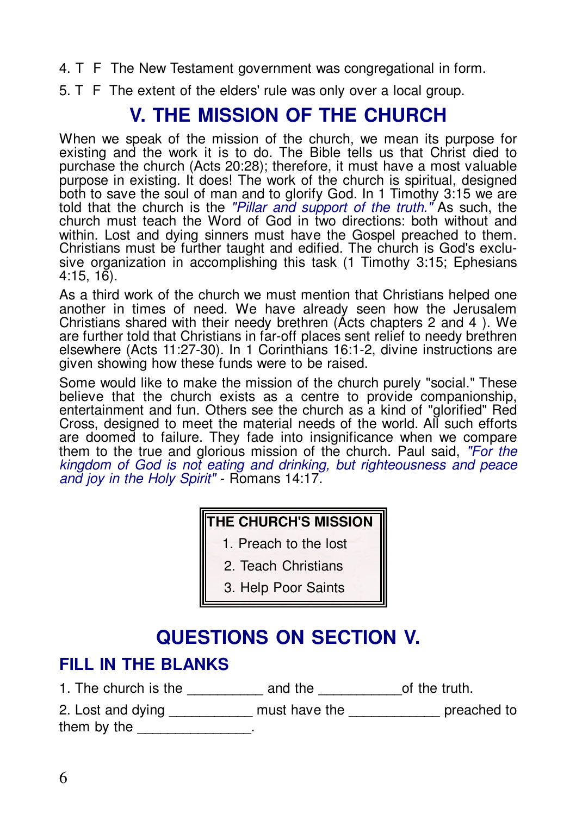- 4. T F The New Testament government was congregational in form.
- 5. T F The extent of the elders' rule was only over a local group.

## **V. THE MISSION OF THE CHURCH**

When we speak of the mission of the church, we mean its purpose for existing and the work it is to do. The Bible tells us that Christ died to purchase the church (Acts 20:28); therefore, it must have a most valuable purpose in existing. It does! The work of the church is spiritual, designed both to save the soul of man and to glorify God. In 1 Timothy 3:15 we are told that the church is the "Pillar and support of the truth." As such, the church must teach the Word of God in two directions: both without and within. Lost and dving sinners must have the Gospel preached to them. Christians must be further taught and edified. The church is God's exclusive organization in accomplishing this task (1 Timothy 3:15; Ephesians  $4:15.16$ .

As a third work of the church we must mention that Christians helped one another in times of need. We have already seen how the Jerusalem Christians shared with their needy brethren (Acts chapters 2 and 4). We are further told that Christians in far-off places sent relief to needy brethren elsewhere (Acts 11:27-30). In 1 Corinthians 16:1-2, divine instructions are given showing how these funds were to be raised.

Some would like to make the mission of the church purely "social." These believe that the church exists as a centre to provide companionship, entertainment and fun. Others see the church as a kind of "glorified" Red Cross, designed to meet the material needs of the world. All such efforts are doomed to failure. They fade into insignificance when we compare them to the true and glorious mission of the church. Paul said, "For the kingdom of God is not eating and drinking, but righteousness and peace and joy in the Holy Spirit" - Romans 14:17.

### THE CHURCH'S MISSION

- 1. Preach to the lost
	- 2. Teach Christians
	- 3. Help Poor Saints

## **QUESTIONS ON SECTION V.**

### **FILL IN THE BLANKS**

1. The church is the \_\_\_\_\_\_\_\_\_\_\_\_\_ and the \_\_\_\_\_\_\_\_\_\_\_\_\_\_ of the truth.

2. Lost and dying \_\_\_\_\_\_\_\_\_\_\_\_ must have the \_\_\_\_\_\_\_\_\_\_\_\_\_\_ preached to them by the  $\frac{1}{1}$ .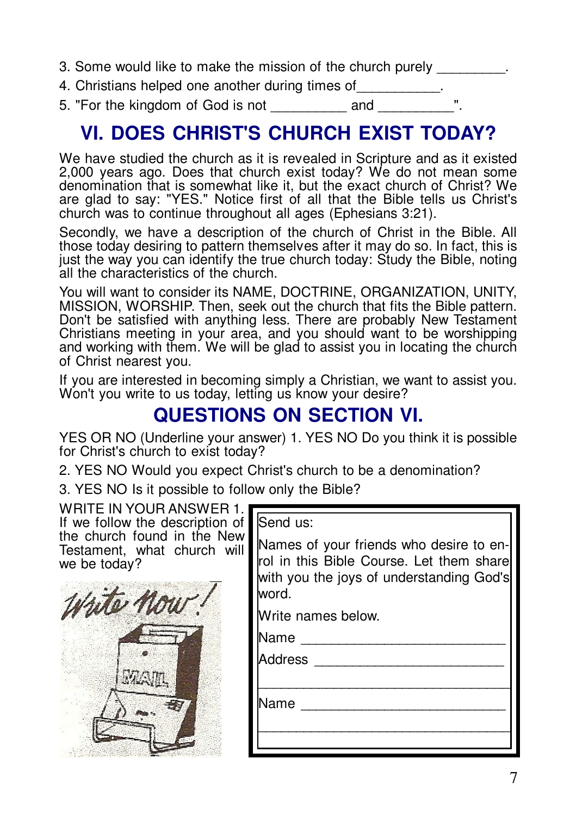- 3. Some would like to make the mission of the church purely
- 4. Christians helped one another during times of
- 5. "For the kingdom of God is not and

# **VI. DOES CHRIST'S CHURCH EXIST TODAY?**

We have studied the church as it is revealed in Scripture and as it existed 2,000 years ago. Does that church exist today? We do not mean some denomination that is somewhat like it. but the exact church of Christ? We are glad to say: "YES." Notice first of all that the Bible tells us Christ's church was to continue throughout all ages (Ephesians 3:21).

Secondly, we have a description of the church of Christ in the Bible. All those today desiring to pattern themselves after it may do so. In fact, this is just the way you can identify the true church today: Study the Bible, noting all the characteristics of the church.

You will want to consider its NAME, DOCTRINE, ORGANIZATION, UNITY, MISSION, WORSHIP. Then, seek out the church that fits the Bible pattern. Don't be satisfied with anything less. There are probably New Testament Christians meeting in your area, and you should want to be worshipping and working with them. We will be glad to assist you in locating the church of Christ nearest you.

If you are interested in becoming simply a Christian, we want to assist you. Won't you write to us today, letting us know your desire?

# **QUESTIONS ON SECTION VI.**

YES OR NO (Underline your answer) 1. YES NO Do you think it is possible for Christ's church to exist today?

2. YES NO Would you expect Christ's church to be a denomination?

 $\mathbf{r}$ 

3. YES NO Is it possible to follow only the Bible?

WRITE IN YOUR ANSWER 1. If we follow the description of<br>the church found in the New Testament, what church will we be today?



| lSend us:                                                                                                                                |
|------------------------------------------------------------------------------------------------------------------------------------------|
| Names of your friends who desire to en-<br>rol in this Bible Course. Let them share<br>with you the joys of understanding God's<br>word. |
| Write names below.                                                                                                                       |
| Name                                                                                                                                     |
| Address                                                                                                                                  |
| Name                                                                                                                                     |